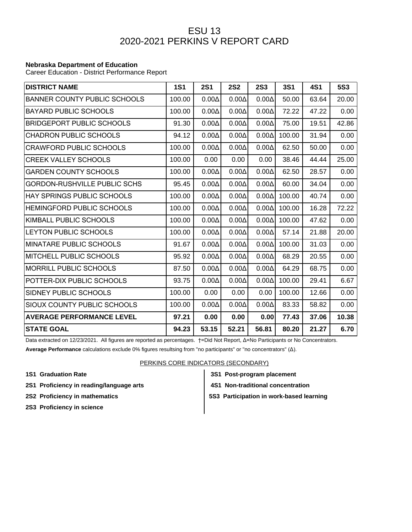## ESU 13 2020-2021 PERKINS V REPORT CARD

## **Nebraska Department of Education**

Career Education - District Performance Report

| <b>DISTRICT NAME</b>                | <b>1S1</b> | <b>2S1</b>   | <b>2S2</b>   | <b>2S3</b>   | <b>3S1</b> | <b>4S1</b> | <b>5S3</b> |
|-------------------------------------|------------|--------------|--------------|--------------|------------|------------|------------|
| <b>BANNER COUNTY PUBLIC SCHOOLS</b> | 100.00     | $0.00\Delta$ | $0.00\Delta$ | $0.00\Delta$ | 50.00      | 63.64      | 20.00      |
| <b>BAYARD PUBLIC SCHOOLS</b>        | 100.00     | $0.00\Delta$ | $0.00\Delta$ | $0.00\Delta$ | 72.22      | 47.22      | 0.00       |
| <b>BRIDGEPORT PUBLIC SCHOOLS</b>    | 91.30      | $0.00\Delta$ | $0.00\Delta$ | $0.00\Delta$ | 75.00      | 19.51      | 42.86      |
| <b>CHADRON PUBLIC SCHOOLS</b>       | 94.12      | $0.00\Delta$ | $0.00\Delta$ | $0.00\Delta$ | 100.00     | 31.94      | 0.00       |
| <b>CRAWFORD PUBLIC SCHOOLS</b>      | 100.00     | $0.00\Delta$ | $0.00\Delta$ | $0.00\Delta$ | 62.50      | 50.00      | 0.00       |
| <b>CREEK VALLEY SCHOOLS</b>         | 100.00     | 0.00         | 0.00         | 0.00         | 38.46      | 44.44      | 25.00      |
| <b>GARDEN COUNTY SCHOOLS</b>        | 100.00     | $0.00\Delta$ | $0.00\Delta$ | $0.00\Delta$ | 62.50      | 28.57      | 0.00       |
| <b>GORDON-RUSHVILLE PUBLIC SCHS</b> | 95.45      | $0.00\Delta$ | $0.00\Delta$ | $0.00\Delta$ | 60.00      | 34.04      | 0.00       |
| HAY SPRINGS PUBLIC SCHOOLS          | 100.00     | $0.00\Delta$ | $0.00\Delta$ | $0.00\Delta$ | 100.00     | 40.74      | 0.00       |
| HEMINGFORD PUBLIC SCHOOLS           | 100.00     | $0.00\Delta$ | $0.00\Delta$ | $0.00\Delta$ | 100.00     | 16.28      | 72.22      |
| KIMBALL PUBLIC SCHOOLS              | 100.00     | $0.00\Delta$ | $0.00\Delta$ | $0.00\Delta$ | 100.00     | 47.62      | 0.00       |
| LEYTON PUBLIC SCHOOLS               | 100.00     | $0.00\Delta$ | $0.00\Delta$ | $0.00\Delta$ | 57.14      | 21.88      | 20.00      |
| MINATARE PUBLIC SCHOOLS             | 91.67      | $0.00\Delta$ | $0.00\Delta$ | $0.00\Delta$ | 100.00     | 31.03      | 0.00       |
| MITCHELL PUBLIC SCHOOLS             | 95.92      | $0.00\Delta$ | $0.00\Delta$ | $0.00\Delta$ | 68.29      | 20.55      | 0.00       |
| MORRILL PUBLIC SCHOOLS              | 87.50      | $0.00\Delta$ | $0.00\Delta$ | $0.00\Delta$ | 64.29      | 68.75      | 0.00       |
| POTTER-DIX PUBLIC SCHOOLS           | 93.75      | $0.00\Delta$ | $0.00\Delta$ | $0.00\Delta$ | 100.00     | 29.41      | 6.67       |
| SIDNEY PUBLIC SCHOOLS               | 100.00     | 0.00         | 0.00         | 0.00         | 100.00     | 12.66      | 0.00       |
| SIOUX COUNTY PUBLIC SCHOOLS         | 100.00     | $0.00\Delta$ | $0.00\Delta$ | $0.00\Delta$ | 83.33      | 58.82      | 0.00       |
| <b>AVERAGE PERFORMANCE LEVEL</b>    | 97.21      | 0.00         | 0.00         | 0.00         | 77.43      | 37.06      | 10.38      |
| <b>STATE GOAL</b>                   | 94.23      | 53.15        | 52.21        | 56.81        | 80.20      | 21.27      | 6.70       |

Data extracted on 12/23/2021. All figures are reported as percentages. †=Did Not Report, Δ=No Participants or No Concentrators.

**Average Performance** calculations exclude 0% figures resultsing from "no participants" or "no concentrators" (Δ).

PERKINS CORE INDICATORS (SECONDARY)

- 
- 2S1 Proficiency in reading/language arts **4S1 Non-traditional concentration**
- 
- **2S3 Proficiency in science**
- **1S1 Graduation Rate 3S1 Post-program placement**
	-

**2S2 Proficiency in mathematics 5S3 Participation in work-based learning**